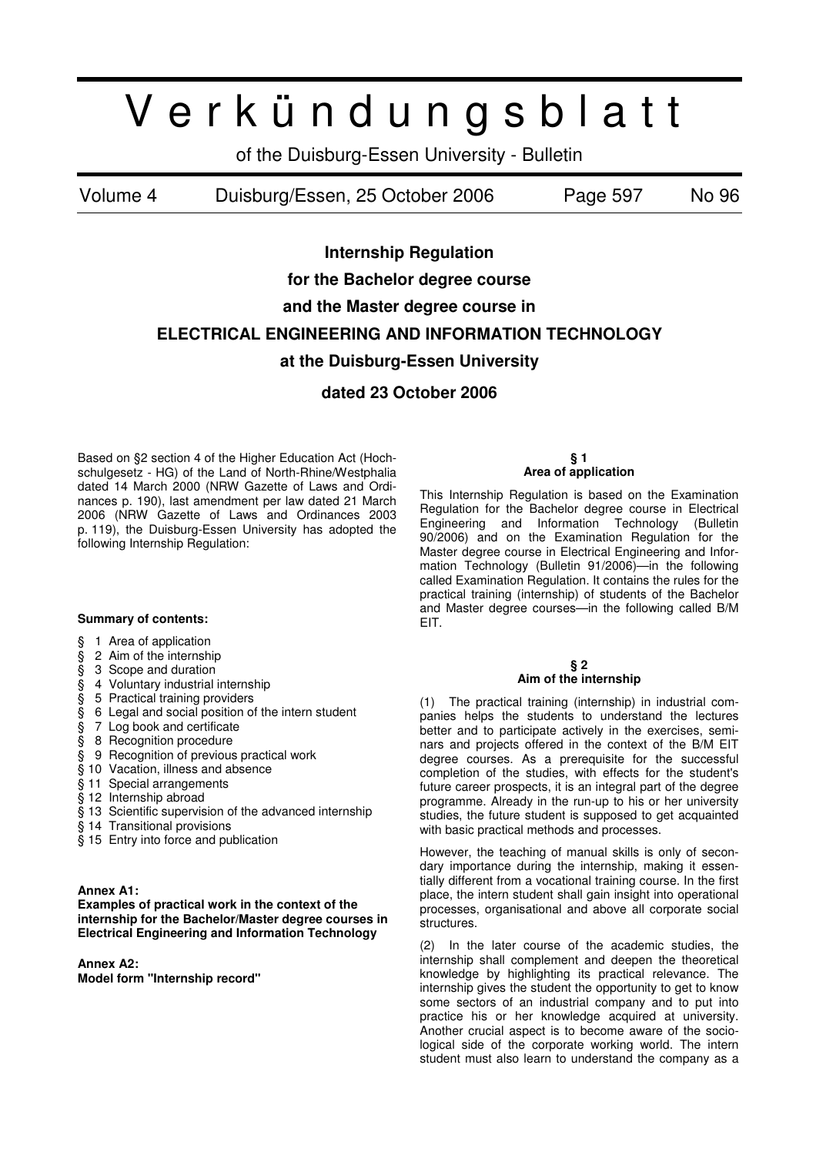# V e r k ü n d u n g s b l a t t

of the Duisburg-Essen University - Bulletin

Volume 4 Duisburg/Essen, 25 October 2006 Page 597 No 96

**Internship Regulation** 

**for the Bachelor degree course** 

**and the Master degree course in** 

## **ELECTRICAL ENGINEERING AND INFORMATION TECHNOLOGY**

## **at the Duisburg-Essen University**

**dated 23 October 2006** 

Based on §2 section 4 of the Higher Education Act (Hochschulgesetz - HG) of the Land of North-Rhine/Westphalia dated 14 March 2000 (NRW Gazette of Laws and Ordinances p. 190), last amendment per law dated 21 March 2006 (NRW Gazette of Laws and Ordinances 2003 p. 119), the Duisburg-Essen University has adopted the following Internship Regulation:

## **Summary of contents:**

- § 1 Area of application
- $\S$  2 Aim of the internship<br> $\S$  3 Scope and duration<br> $\S$  4 Voluntary industrial in
- § 3 Scope and duration
- § 4 Voluntary industrial internship<br>§ 5 Practical training providers
- § 5 Practical training providers
- § 6 Legal and social position of the intern student
- § 7 Log book and certificate
- § 8 Recognition procedure
- § 9 Recognition of previous practical work
- § 10 Vacation, illness and absence
- § 11 Special arrangements
- § 12 Internship abroad
- § 13 Scientific supervision of the advanced internship
- § 14 Transitional provisions
- § 15 Entry into force and publication

## **Annex A1:**

**Examples of practical work in the context of the internship for the Bachelor/Master degree courses in Electrical Engineering and Information Technology** 

**Annex A2:** 

**Model form "Internship record"** 

#### **§ 1 Area of application**

This Internship Regulation is based on the Examination Regulation for the Bachelor degree course in Electrical Engineering and Information Technology (Bulletin 90/2006) and on the Examination Regulation for the Master degree course in Electrical Engineering and Information Technology (Bulletin 91/2006)—in the following called Examination Regulation. It contains the rules for the practical training (internship) of students of the Bachelor and Master degree courses—in the following called B/M EIT.

## **§ 2 Aim of the internship**

(1) The practical training (internship) in industrial companies helps the students to understand the lectures better and to participate actively in the exercises, seminars and projects offered in the context of the B/M EIT degree courses. As a prerequisite for the successful completion of the studies, with effects for the student's future career prospects, it is an integral part of the degree programme. Already in the run-up to his or her university studies, the future student is supposed to get acquainted with basic practical methods and processes.

However, the teaching of manual skills is only of secondary importance during the internship, making it essentially different from a vocational training course. In the first place, the intern student shall gain insight into operational processes, organisational and above all corporate social structures.

(2) In the later course of the academic studies, the internship shall complement and deepen the theoretical knowledge by highlighting its practical relevance. The internship gives the student the opportunity to get to know some sectors of an industrial company and to put into practice his or her knowledge acquired at university. Another crucial aspect is to become aware of the sociological side of the corporate working world. The intern student must also learn to understand the company as a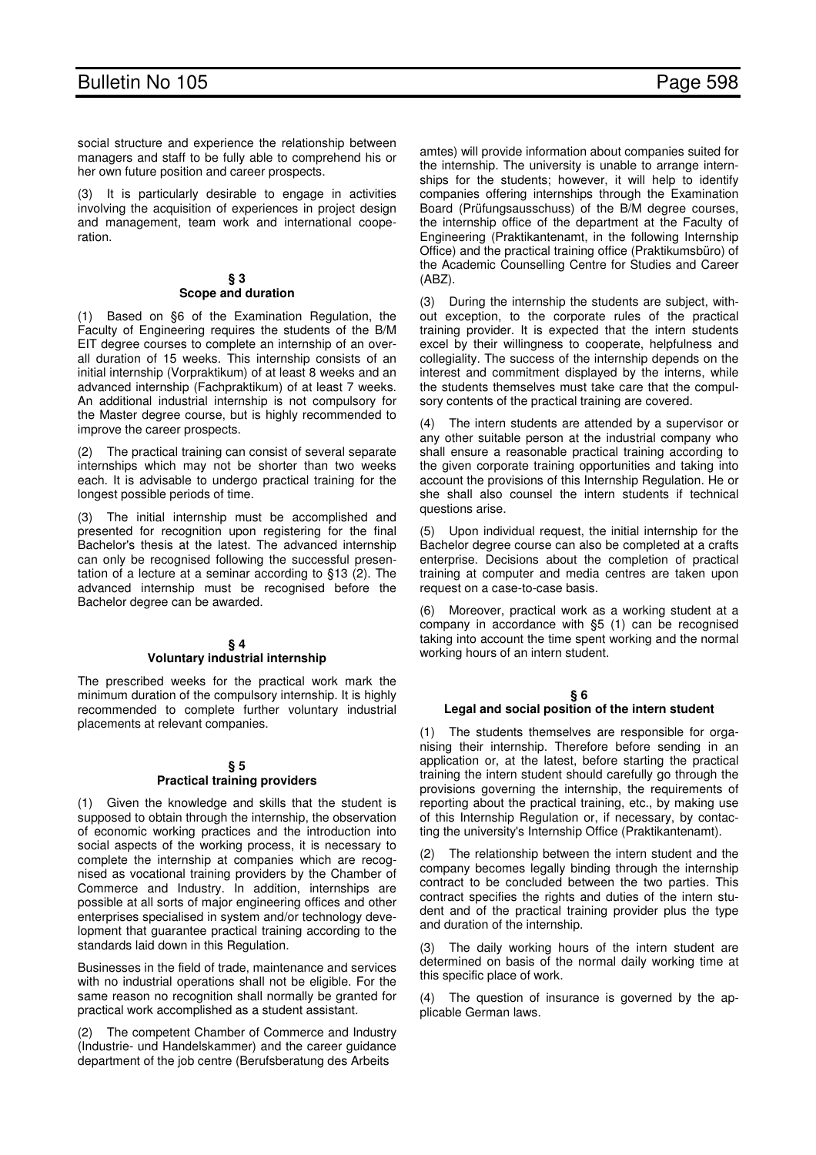social structure and experience the relationship between managers and staff to be fully able to comprehend his or her own future position and career prospects.

(3) It is particularly desirable to engage in activities involving the acquisition of experiences in project design and management, team work and international cooperation.

### **§ 3 Scope and duration**

(1) Based on §6 of the Examination Regulation, the Faculty of Engineering requires the students of the B/M EIT degree courses to complete an internship of an overall duration of 15 weeks. This internship consists of an initial internship (Vorpraktikum) of at least 8 weeks and an advanced internship (Fachpraktikum) of at least 7 weeks. An additional industrial internship is not compulsory for the Master degree course, but is highly recommended to improve the career prospects.

The practical training can consist of several separate internships which may not be shorter than two weeks each. It is advisable to undergo practical training for the longest possible periods of time.

(3) The initial internship must be accomplished and presented for recognition upon registering for the final Bachelor's thesis at the latest. The advanced internship can only be recognised following the successful presentation of a lecture at a seminar according to §13 (2). The advanced internship must be recognised before the Bachelor degree can be awarded.

## **§ 4 Voluntary industrial internship**

The prescribed weeks for the practical work mark the minimum duration of the compulsory internship. It is highly recommended to complete further voluntary industrial placements at relevant companies.

### **§ 5 Practical training providers**

(1) Given the knowledge and skills that the student is supposed to obtain through the internship, the observation of economic working practices and the introduction into social aspects of the working process, it is necessary to complete the internship at companies which are recognised as vocational training providers by the Chamber of Commerce and Industry. In addition, internships are possible at all sorts of major engineering offices and other enterprises specialised in system and/or technology development that guarantee practical training according to the standards laid down in this Regulation.

Businesses in the field of trade, maintenance and services with no industrial operations shall not be eligible. For the same reason no recognition shall normally be granted for practical work accomplished as a student assistant.

(2) The competent Chamber of Commerce and Industry (Industrie- und Handelskammer) and the career guidance department of the job centre (Berufsberatung des Arbeits

amtes) will provide information about companies suited for the internship. The university is unable to arrange internships for the students; however, it will help to identify companies offering internships through the Examination Board (Prüfungsausschuss) of the B/M degree courses, the internship office of the department at the Faculty of Engineering (Praktikantenamt, in the following Internship Office) and the practical training office (Praktikumsbüro) of the Academic Counselling Centre for Studies and Career (ABZ).

(3) During the internship the students are subject, without exception, to the corporate rules of the practical training provider. It is expected that the intern students excel by their willingness to cooperate, helpfulness and collegiality. The success of the internship depends on the interest and commitment displayed by the interns, while the students themselves must take care that the compulsory contents of the practical training are covered.

(4) The intern students are attended by a supervisor or any other suitable person at the industrial company who shall ensure a reasonable practical training according to the given corporate training opportunities and taking into account the provisions of this Internship Regulation. He or she shall also counsel the intern students if technical questions arise.

(5) Upon individual request, the initial internship for the Bachelor degree course can also be completed at a crafts enterprise. Decisions about the completion of practical training at computer and media centres are taken upon request on a case-to-case basis.

(6) Moreover, practical work as a working student at a company in accordance with §5 (1) can be recognised taking into account the time spent working and the normal working hours of an intern student.

## **§ 6**

## **Legal and social position of the intern student**

(1) The students themselves are responsible for organising their internship. Therefore before sending in an application or, at the latest, before starting the practical training the intern student should carefully go through the provisions governing the internship, the requirements of reporting about the practical training, etc., by making use of this Internship Regulation or, if necessary, by contacting the university's Internship Office (Praktikantenamt).

The relationship between the intern student and the company becomes legally binding through the internship contract to be concluded between the two parties. This contract specifies the rights and duties of the intern student and of the practical training provider plus the type and duration of the internship.

(3) The daily working hours of the intern student are determined on basis of the normal daily working time at this specific place of work.

(4) The question of insurance is governed by the applicable German laws.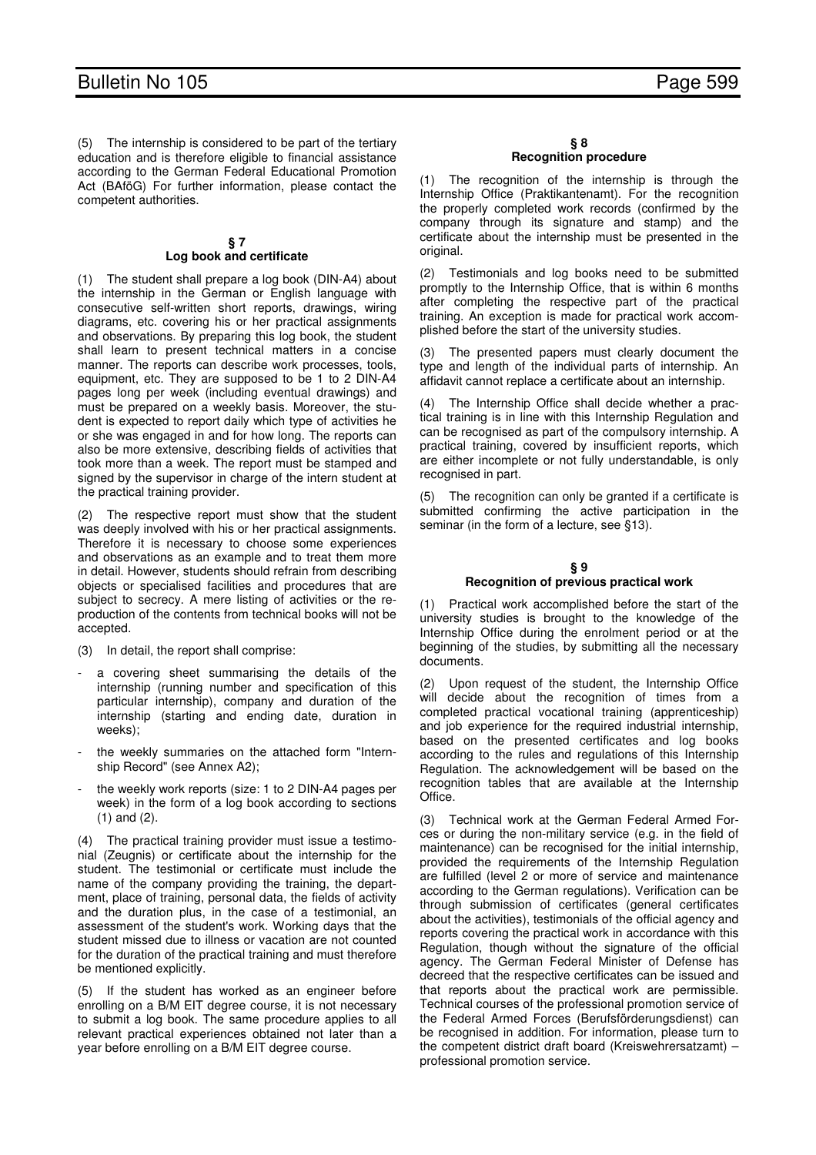(5) The internship is considered to be part of the tertiary education and is therefore eligible to financial assistance according to the German Federal Educational Promotion Act (BAföG) For further information, please contact the competent authorities.

## **§ 7 Log book and certificate**

(1) The student shall prepare a log book (DIN-A4) about the internship in the German or English language with consecutive self-written short reports, drawings, wiring diagrams, etc. covering his or her practical assignments and observations. By preparing this log book, the student shall learn to present technical matters in a concise manner. The reports can describe work processes, tools, equipment, etc. They are supposed to be 1 to 2 DIN-A4 pages long per week (including eventual drawings) and must be prepared on a weekly basis. Moreover, the student is expected to report daily which type of activities he or she was engaged in and for how long. The reports can also be more extensive, describing fields of activities that took more than a week. The report must be stamped and signed by the supervisor in charge of the intern student at the practical training provider.

(2) The respective report must show that the student was deeply involved with his or her practical assignments. Therefore it is necessary to choose some experiences and observations as an example and to treat them more in detail. However, students should refrain from describing objects or specialised facilities and procedures that are subject to secrecy. A mere listing of activities or the reproduction of the contents from technical books will not be accepted.

(3) In detail, the report shall comprise:

- a covering sheet summarising the details of the internship (running number and specification of this particular internship), company and duration of the internship (starting and ending date, duration in weeks);
- the weekly summaries on the attached form "Internship Record" (see Annex A2);
- the weekly work reports (size: 1 to 2 DIN-A4 pages per week) in the form of a log book according to sections (1) and (2).

(4) The practical training provider must issue a testimonial (Zeugnis) or certificate about the internship for the student. The testimonial or certificate must include the name of the company providing the training, the department, place of training, personal data, the fields of activity and the duration plus, in the case of a testimonial, an assessment of the student's work. Working days that the student missed due to illness or vacation are not counted for the duration of the practical training and must therefore be mentioned explicitly.

(5) If the student has worked as an engineer before enrolling on a B/M EIT degree course, it is not necessary to submit a log book. The same procedure applies to all relevant practical experiences obtained not later than a year before enrolling on a B/M EIT degree course.

### **§ 8 Recognition procedure**

(1) The recognition of the internship is through the Internship Office (Praktikantenamt). For the recognition the properly completed work records (confirmed by the company through its signature and stamp) and the certificate about the internship must be presented in the original.

(2) Testimonials and log books need to be submitted promptly to the Internship Office, that is within 6 months after completing the respective part of the practical training. An exception is made for practical work accomplished before the start of the university studies.

(3) The presented papers must clearly document the type and length of the individual parts of internship. An affidavit cannot replace a certificate about an internship.

(4) The Internship Office shall decide whether a practical training is in line with this Internship Regulation and can be recognised as part of the compulsory internship. A practical training, covered by insufficient reports, which are either incomplete or not fully understandable, is only recognised in part.

(5) The recognition can only be granted if a certificate is submitted confirming the active participation in the seminar (in the form of a lecture, see §13).

## **§ 9 Recognition of previous practical work**

(1) Practical work accomplished before the start of the university studies is brought to the knowledge of the Internship Office during the enrolment period or at the beginning of the studies, by submitting all the necessary documents.

(2) Upon request of the student, the Internship Office will decide about the recognition of times from a completed practical vocational training (apprenticeship) and job experience for the required industrial internship, based on the presented certificates and log books according to the rules and regulations of this Internship Regulation. The acknowledgement will be based on the recognition tables that are available at the Internship Office.

(3) Technical work at the German Federal Armed Forces or during the non-military service (e.g. in the field of maintenance) can be recognised for the initial internship, provided the requirements of the Internship Regulation are fulfilled (level 2 or more of service and maintenance according to the German regulations). Verification can be through submission of certificates (general certificates about the activities), testimonials of the official agency and reports covering the practical work in accordance with this Regulation, though without the signature of the official agency. The German Federal Minister of Defense has decreed that the respective certificates can be issued and that reports about the practical work are permissible. Technical courses of the professional promotion service of the Federal Armed Forces (Berufsförderungsdienst) can be recognised in addition. For information, please turn to the competent district draft board (Kreiswehrersatzamt) – professional promotion service.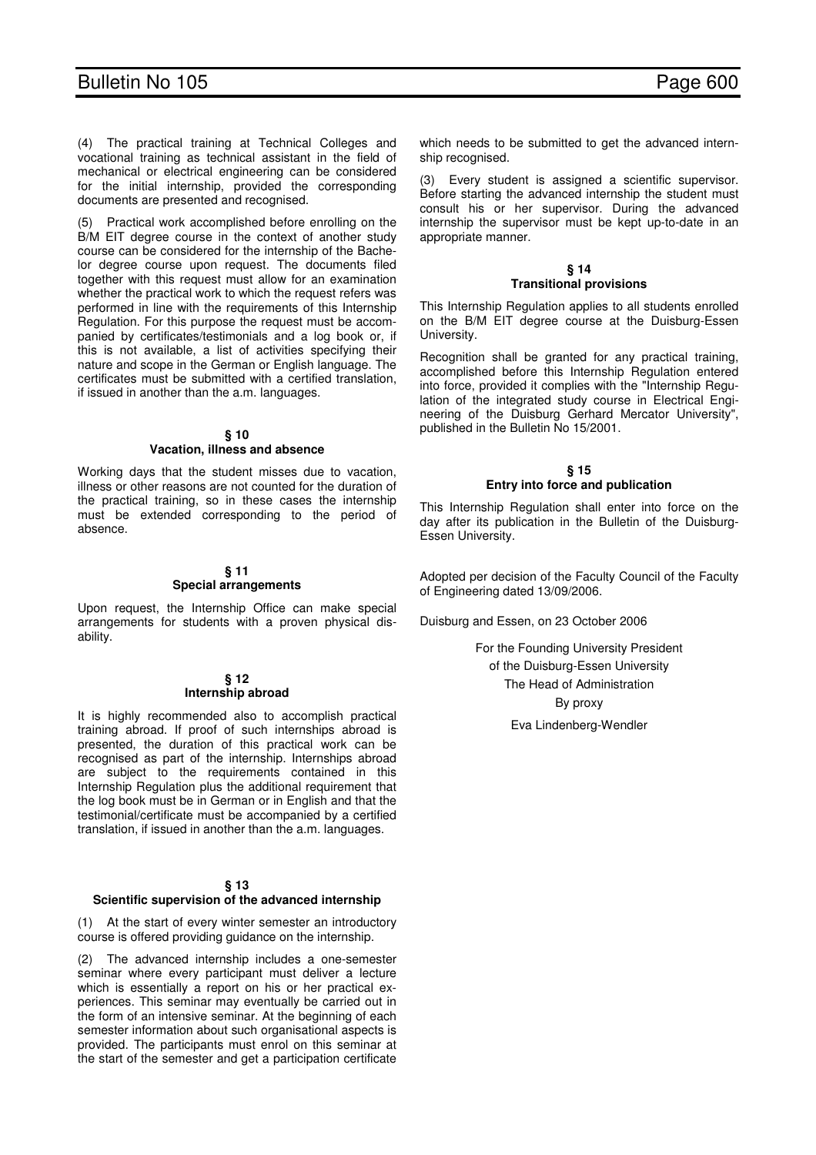## Bulletin No 105 Page 600

(4) The practical training at Technical Colleges and vocational training as technical assistant in the field of mechanical or electrical engineering can be considered for the initial internship, provided the corresponding documents are presented and recognised.

Practical work accomplished before enrolling on the B/M EIT degree course in the context of another study course can be considered for the internship of the Bachelor degree course upon request. The documents filed together with this request must allow for an examination whether the practical work to which the request refers was performed in line with the requirements of this Internship Regulation. For this purpose the request must be accompanied by certificates/testimonials and a log book or, if this is not available, a list of activities specifying their nature and scope in the German or English language. The certificates must be submitted with a certified translation, if issued in another than the a.m. languages.

## **§ 10**

## **Vacation, illness and absence**

Working days that the student misses due to vacation, illness or other reasons are not counted for the duration of the practical training, so in these cases the internship must be extended corresponding to the period of absence.

#### **§ 11 Special arrangements**

Upon request, the Internship Office can make special arrangements for students with a proven physical disability.

## **§ 12 Internship abroad**

It is highly recommended also to accomplish practical training abroad. If proof of such internships abroad is presented, the duration of this practical work can be recognised as part of the internship. Internships abroad are subject to the requirements contained in this Internship Regulation plus the additional requirement that the log book must be in German or in English and that the testimonial/certificate must be accompanied by a certified translation, if issued in another than the a.m. languages.

## **§ 13**

## **Scientific supervision of the advanced internship**

(1) At the start of every winter semester an introductory course is offered providing guidance on the internship.

(2) The advanced internship includes a one-semester seminar where every participant must deliver a lecture which is essentially a report on his or her practical experiences. This seminar may eventually be carried out in the form of an intensive seminar. At the beginning of each semester information about such organisational aspects is provided. The participants must enrol on this seminar at the start of the semester and get a participation certificate which needs to be submitted to get the advanced internship recognised.

(3) Every student is assigned a scientific supervisor. Before starting the advanced internship the student must consult his or her supervisor. During the advanced internship the supervisor must be kept up-to-date in an appropriate manner.

## **§ 14 Transitional provisions**

This Internship Regulation applies to all students enrolled on the B/M EIT degree course at the Duisburg-Essen University.

Recognition shall be granted for any practical training, accomplished before this Internship Regulation entered into force, provided it complies with the "Internship Regulation of the integrated study course in Electrical Engineering of the Duisburg Gerhard Mercator University", published in the Bulletin No 15/2001.

## **§ 15 Entry into force and publication**

This Internship Regulation shall enter into force on the day after its publication in the Bulletin of the Duisburg-Essen University.

Adopted per decision of the Faculty Council of the Faculty of Engineering dated 13/09/2006.

Duisburg and Essen, on 23 October 2006

For the Founding University President of the Duisburg-Essen University The Head of Administration By proxy Eva Lindenberg-Wendler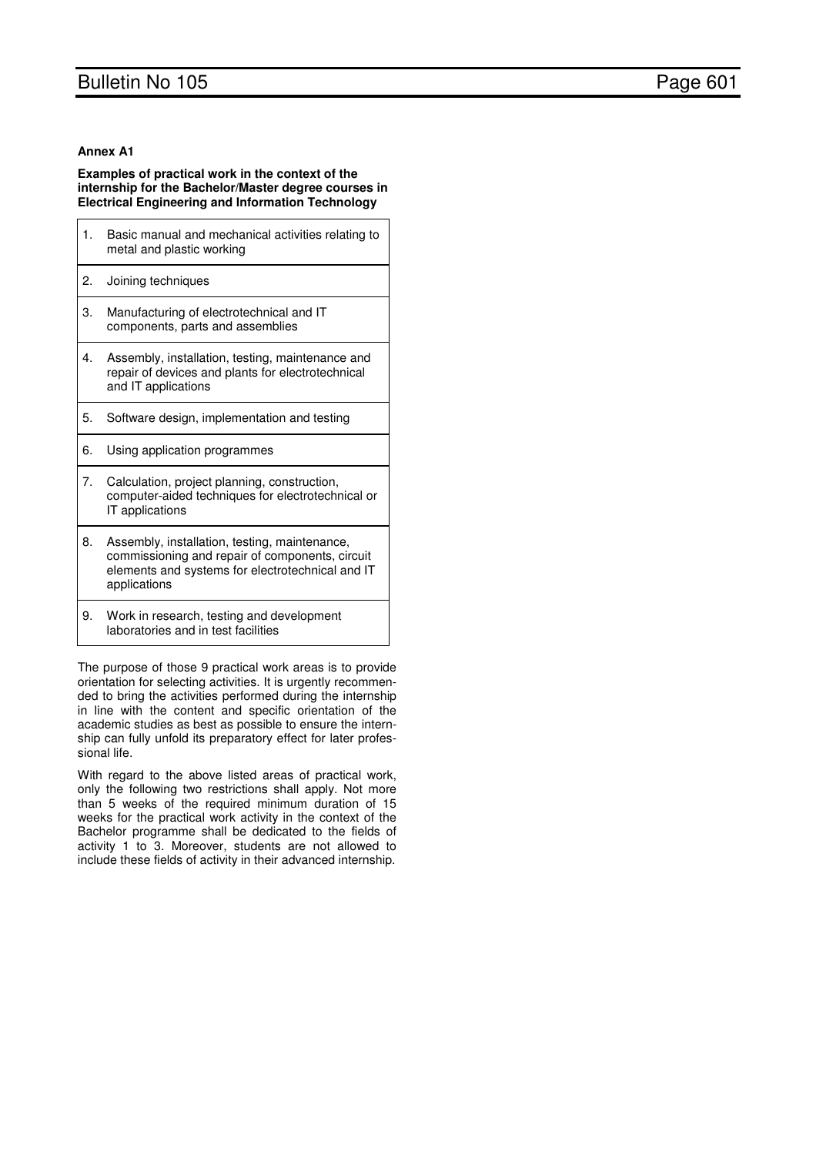## Bulletin No 105 **Page 601**

## **Annex A1**

## **Examples of practical work in the context of the internship for the Bachelor/Master degree courses in Electrical Engineering and Information Technology**

| 1. | Basic manual and mechanical activities relating to<br>metal and plastic working                                                                                      |
|----|----------------------------------------------------------------------------------------------------------------------------------------------------------------------|
| 2. | Joining techniques                                                                                                                                                   |
| 3. | Manufacturing of electrotechnical and IT<br>components, parts and assemblies                                                                                         |
| 4. | Assembly, installation, testing, maintenance and<br>repair of devices and plants for electrotechnical<br>and IT applications                                         |
| 5. | Software design, implementation and testing                                                                                                                          |
| 6. | Using application programmes                                                                                                                                         |
| 7. | Calculation, project planning, construction,<br>computer-aided techniques for electrotechnical or<br>IT applications                                                 |
| 8. | Assembly, installation, testing, maintenance,<br>commissioning and repair of components, circuit<br>elements and systems for electrotechnical and IT<br>applications |
| 9. | Work in research, testing and development<br>laboratories and in test facilities                                                                                     |

The purpose of those 9 practical work areas is to provide orientation for selecting activities. It is urgently recommended to bring the activities performed during the internship in line with the content and specific orientation of the academic studies as best as possible to ensure the internship can fully unfold its preparatory effect for later professional life.

With regard to the above listed areas of practical work, only the following two restrictions shall apply. Not more than 5 weeks of the required minimum duration of 15 weeks for the practical work activity in the context of the Bachelor programme shall be dedicated to the fields of activity 1 to 3. Moreover, students are not allowed to include these fields of activity in their advanced internship.